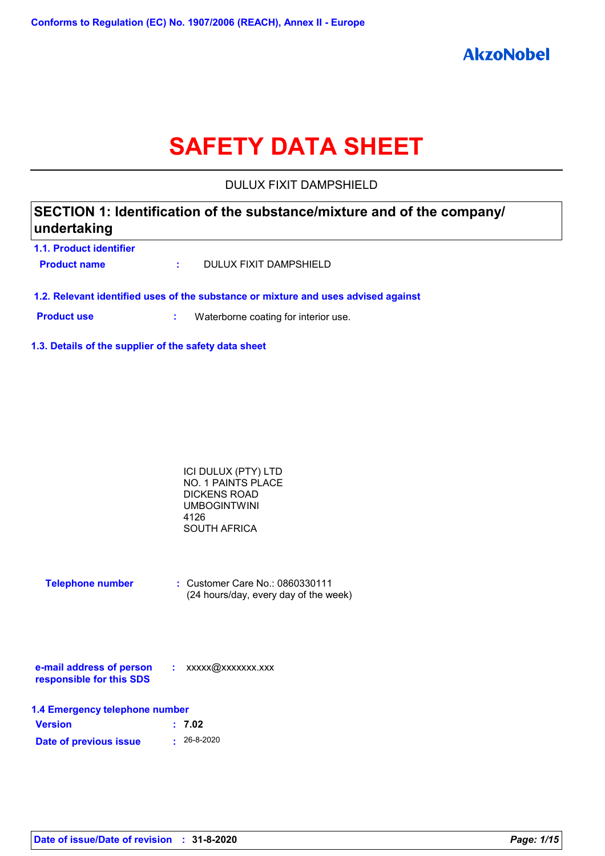# **SAFETY DATA SHEET**

DULUX FIXIT DAMPSHIELD

# **SECTION 1: Identification of the substance/mixture and of the company/ undertaking**

**1.1. Product identifier Product name :** DULUX FIXIT DAMPSHIELD

**1.2. Relevant identified uses of the substance or mixture and uses advised against**

**Product use <b>:** Waterborne coating for interior use.

**1.3. Details of the supplier of the safety data sheet**

| ICI DULUX (PTY) LTD |  |
|---------------------|--|
| NO. 1 PAINTS PLACE  |  |
| DICKENS ROAD        |  |
| UMBOGINTWINI        |  |
| 4126                |  |
| SOUTH AFRICA        |  |

| <b>Telephone number</b> | : Customer Care No.: 0860330111       |
|-------------------------|---------------------------------------|
|                         | (24 hours/day, every day of the week) |

| e-mail address of person | xxxxx@xxxxxxx.xxx |
|--------------------------|-------------------|
| responsible for this SDS |                   |

| 1.4 Emergency telephone number |                   |  |  |
|--------------------------------|-------------------|--|--|
| <b>Version</b>                 | : 7.02            |  |  |
| Date of previous issue         | $\cdot$ 26-8-2020 |  |  |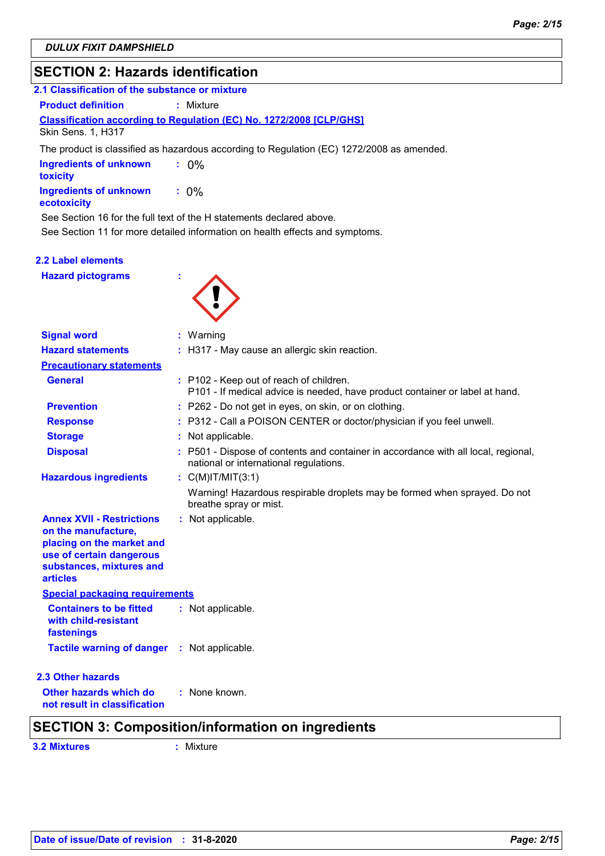# **SECTION 2: Hazards identification**

| 2.1 Classification of the substance or mixture                             |  |  |  |  |
|----------------------------------------------------------------------------|--|--|--|--|
| <b>Product definition</b><br>: Mixture                                     |  |  |  |  |
| <b>Classification according to Regulation (EC) No. 1272/2008 [CLP/GHS]</b> |  |  |  |  |
| <b>Skin Sens. 1. H317</b>                                                  |  |  |  |  |

The product is classified as hazardous according to Regulation (EC) 1272/2008 as amended.

| <b>Ingredients of unknown</b><br>toxicitv | $.0\%$  |
|-------------------------------------------|---------|
| Ingredients of unknown<br>ecotoxicity     | $: 0\%$ |

See Section 16 for the full text of the H statements declared above.

See Section 11 for more detailed information on health effects and symptoms.

#### **2.2 Label elements**

**Hazard pictograms :**



| <b>Signal word</b>                                                                                                                                              | : Warning                                                                                                                    |
|-----------------------------------------------------------------------------------------------------------------------------------------------------------------|------------------------------------------------------------------------------------------------------------------------------|
| <b>Hazard statements</b>                                                                                                                                        | : H317 - May cause an allergic skin reaction.                                                                                |
| <b>Precautionary statements</b>                                                                                                                                 |                                                                                                                              |
| <b>General</b>                                                                                                                                                  | : P102 - Keep out of reach of children.<br>P101 - If medical advice is needed, have product container or label at hand.      |
| <b>Prevention</b>                                                                                                                                               | : P262 - Do not get in eyes, on skin, or on clothing.                                                                        |
| <b>Response</b>                                                                                                                                                 | : P312 - Call a POISON CENTER or doctor/physician if you feel unwell.                                                        |
| <b>Storage</b>                                                                                                                                                  | : Not applicable.                                                                                                            |
| <b>Disposal</b>                                                                                                                                                 | : P501 - Dispose of contents and container in accordance with all local, regional,<br>national or international regulations. |
| <b>Hazardous ingredients</b>                                                                                                                                    | : $C(M)$ IT/MIT $(3:1)$                                                                                                      |
|                                                                                                                                                                 | Warning! Hazardous respirable droplets may be formed when sprayed. Do not<br>breathe spray or mist.                          |
| <b>Annex XVII - Restrictions</b><br>on the manufacture,<br>placing on the market and<br>use of certain dangerous<br>substances, mixtures and<br><b>articles</b> | : Not applicable.                                                                                                            |
| <b>Special packaging requirements</b>                                                                                                                           |                                                                                                                              |
| <b>Containers to be fitted</b><br>with child-resistant<br>fastenings                                                                                            | : Not applicable.                                                                                                            |
| <b>Tactile warning of danger : Not applicable.</b>                                                                                                              |                                                                                                                              |
| 2.3 Other hazards                                                                                                                                               |                                                                                                                              |
| Other hazards which do<br>not result in classification                                                                                                          | : None known.                                                                                                                |
|                                                                                                                                                                 | <b>SECTION 3: Composition/information on ingredients</b>                                                                     |

**3.2 Mixtures :** Mixture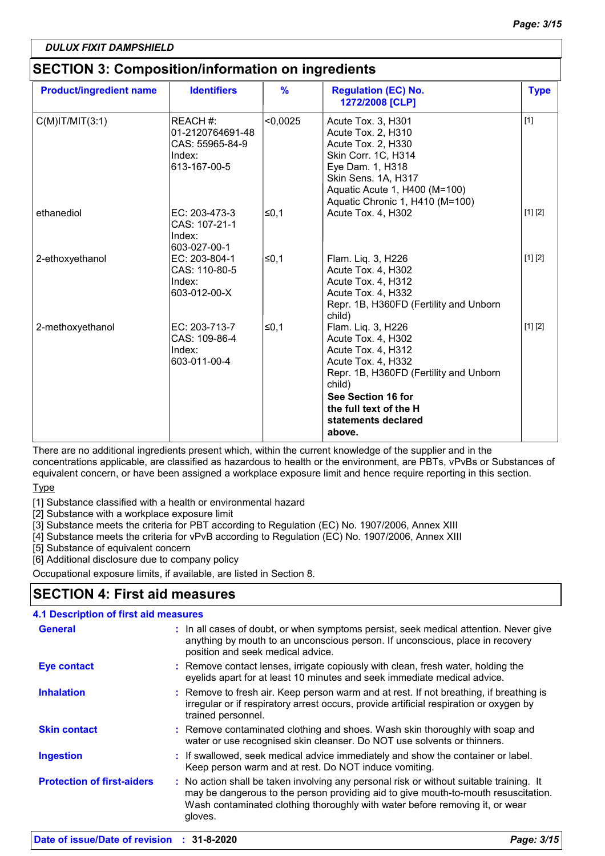# **SECTION 3: Composition/information on ingredients**

| <b>Product/ingredient name</b> | <b>Identifiers</b>                                                        | $\frac{9}{6}$ | <b>Regulation (EC) No.</b><br>1272/2008 [CLP]                                                                                                                                                                             | <b>Type</b> |
|--------------------------------|---------------------------------------------------------------------------|---------------|---------------------------------------------------------------------------------------------------------------------------------------------------------------------------------------------------------------------------|-------------|
| $C(M)$ IT/MIT $(3:1)$          | REACH #:<br>01-2120764691-48<br>CAS: 55965-84-9<br>Index:<br>613-167-00-5 | < 0,0025      | Acute Tox. 3, H301<br>Acute Tox. 2, H310<br>Acute Tox. 2, H330<br>Skin Corr. 1C, H314<br>Eye Dam. 1, H318<br>Skin Sens. 1A, H317<br>Aquatic Acute 1, H400 (M=100)<br>Aquatic Chronic 1, H410 (M=100)                      | $[1]$       |
| ethanediol                     | EC: 203-473-3<br>CAS: 107-21-1<br>Index:<br>603-027-00-1                  | l≤0,1         | Acute Tox. 4, H302                                                                                                                                                                                                        | [1] [2]     |
| 2-ethoxyethanol                | EC: 203-804-1<br>CAS: 110-80-5<br>Index:<br>603-012-00-X                  | l≤0,1         | Flam. Liq. 3, H226<br>Acute Tox. 4, H302<br>Acute Tox. 4, H312<br>Acute Tox. 4, H332<br>Repr. 1B, H360FD (Fertility and Unborn<br>child)                                                                                  | [1] [2]     |
| 2-methoxyethanol               | EC: 203-713-7<br>CAS: 109-86-4<br>Index:<br>603-011-00-4                  | ≤0,1          | Flam. Liq. 3, H226<br>Acute Tox. 4, H302<br>Acute Tox. 4, H312<br>Acute Tox. 4, H332<br>Repr. 1B, H360FD (Fertility and Unborn<br>child)<br>See Section 16 for<br>the full text of the H<br>statements declared<br>above. | [1] [2]     |

There are no additional ingredients present which, within the current knowledge of the supplier and in the concentrations applicable, are classified as hazardous to health or the environment, are PBTs, vPvBs or Substances of equivalent concern, or have been assigned a workplace exposure limit and hence require reporting in this section.

### **Type**

[1] Substance classified with a health or environmental hazard

[2] Substance with a workplace exposure limit

[3] Substance meets the criteria for PBT according to Regulation (EC) No. 1907/2006, Annex XIII

[4] Substance meets the criteria for vPvB according to Regulation (EC) No. 1907/2006, Annex XIII

[5] Substance of equivalent concern

[6] Additional disclosure due to company policy

Occupational exposure limits, if available, are listed in Section 8.

# **SECTION 4: First aid measures**

### **4.1 Description of first aid measures**

| <b>General</b>                    | : In all cases of doubt, or when symptoms persist, seek medical attention. Never give<br>anything by mouth to an unconscious person. If unconscious, place in recovery<br>position and seek medical advice.                                                              |
|-----------------------------------|--------------------------------------------------------------------------------------------------------------------------------------------------------------------------------------------------------------------------------------------------------------------------|
| <b>Eye contact</b>                | : Remove contact lenses, irrigate copiously with clean, fresh water, holding the<br>eyelids apart for at least 10 minutes and seek immediate medical advice.                                                                                                             |
| <b>Inhalation</b>                 | : Remove to fresh air. Keep person warm and at rest. If not breathing, if breathing is<br>irregular or if respiratory arrest occurs, provide artificial respiration or oxygen by<br>trained personnel.                                                                   |
| <b>Skin contact</b>               | : Remove contaminated clothing and shoes. Wash skin thoroughly with soap and<br>water or use recognised skin cleanser. Do NOT use solvents or thinners.                                                                                                                  |
| <b>Ingestion</b>                  | : If swallowed, seek medical advice immediately and show the container or label.<br>Keep person warm and at rest. Do NOT induce vomiting.                                                                                                                                |
| <b>Protection of first-aiders</b> | : No action shall be taken involving any personal risk or without suitable training. It<br>may be dangerous to the person providing aid to give mouth-to-mouth resuscitation.<br>Wash contaminated clothing thoroughly with water before removing it, or wear<br>gloves. |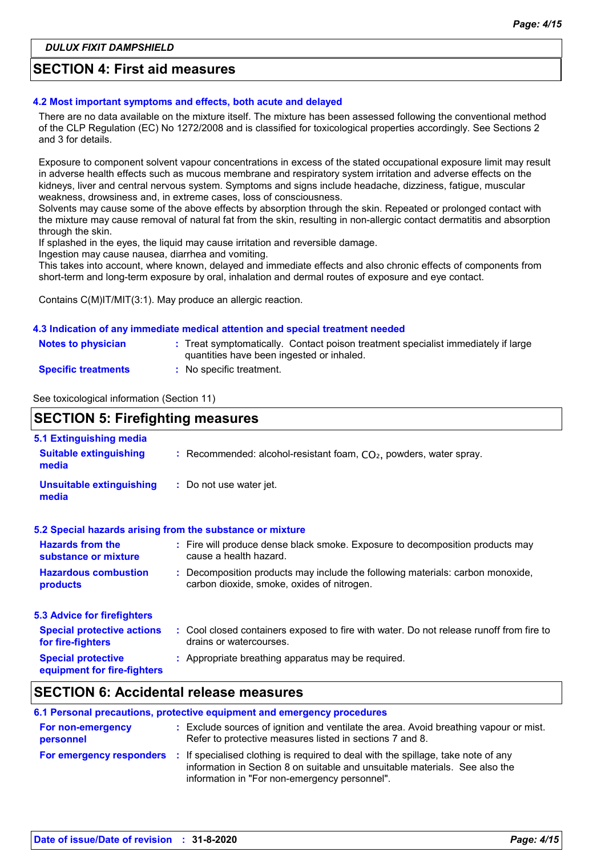### **SECTION 4: First aid measures**

#### **4.2 Most important symptoms and effects, both acute and delayed**

There are no data available on the mixture itself. The mixture has been assessed following the conventional method of the CLP Regulation (EC) No 1272/2008 and is classified for toxicological properties accordingly. See Sections 2 and 3 for details.

Exposure to component solvent vapour concentrations in excess of the stated occupational exposure limit may result in adverse health effects such as mucous membrane and respiratory system irritation and adverse effects on the kidneys, liver and central nervous system. Symptoms and signs include headache, dizziness, fatigue, muscular weakness, drowsiness and, in extreme cases, loss of consciousness.

Solvents may cause some of the above effects by absorption through the skin. Repeated or prolonged contact with the mixture may cause removal of natural fat from the skin, resulting in non-allergic contact dermatitis and absorption through the skin.

If splashed in the eyes, the liquid may cause irritation and reversible damage.

Ingestion may cause nausea, diarrhea and vomiting.

This takes into account, where known, delayed and immediate effects and also chronic effects of components from short-term and long-term exposure by oral, inhalation and dermal routes of exposure and eye contact.

Contains C(M)IT/MIT(3:1). May produce an allergic reaction.

#### **4.3 Indication of any immediate medical attention and special treatment needed**

| <b>Notes to physician</b>  | Treat symptomatically. Contact poison treatment specialist immediately if large<br>quantities have been ingested or inhaled. |
|----------------------------|------------------------------------------------------------------------------------------------------------------------------|
| <b>Specific treatments</b> | No specific treatment.                                                                                                       |

See toxicological information (Section 11)

| <b>SECTION 5: Firefighting measures</b>                           |                                                                                                                              |  |
|-------------------------------------------------------------------|------------------------------------------------------------------------------------------------------------------------------|--|
| 5.1 Extinguishing media<br><b>Suitable extinguishing</b><br>media | : Recommended: alcohol-resistant foam, $CO2$ , powders, water spray.                                                         |  |
| <b>Unsuitable extinguishing</b><br>media                          | : Do not use water jet.                                                                                                      |  |
|                                                                   | 5.2 Special hazards arising from the substance or mixture                                                                    |  |
| <b>Hazards from the</b><br>substance or mixture                   | : Fire will produce dense black smoke. Exposure to decomposition products may<br>cause a health hazard.                      |  |
| <b>Hazardous combustion</b><br>products                           | : Decomposition products may include the following materials: carbon monoxide,<br>carbon dioxide, smoke, oxides of nitrogen. |  |
| <b>5.3 Advice for firefighters</b>                                |                                                                                                                              |  |
| <b>Special protective actions</b><br>for fire-fighters            | : Cool closed containers exposed to fire with water. Do not release runoff from fire to<br>drains or watercourses.           |  |
| <b>Special protective</b><br>equipment for fire-fighters          | : Appropriate breathing apparatus may be required.                                                                           |  |

### **SECTION 6: Accidental release measures**

| 6.1 Personal precautions, protective equipment and emergency procedures |  |                                                                                                                                                                                                                                                   |  |  |
|-------------------------------------------------------------------------|--|---------------------------------------------------------------------------------------------------------------------------------------------------------------------------------------------------------------------------------------------------|--|--|
| For non-emergency<br>personnel                                          |  | : Exclude sources of ignition and ventilate the area. Avoid breathing vapour or mist.<br>Refer to protective measures listed in sections 7 and 8.                                                                                                 |  |  |
|                                                                         |  | <b>For emergency responders</b> : If specialised clothing is required to deal with the spillage, take note of any<br>information in Section 8 on suitable and unsuitable materials. See also the<br>information in "For non-emergency personnel". |  |  |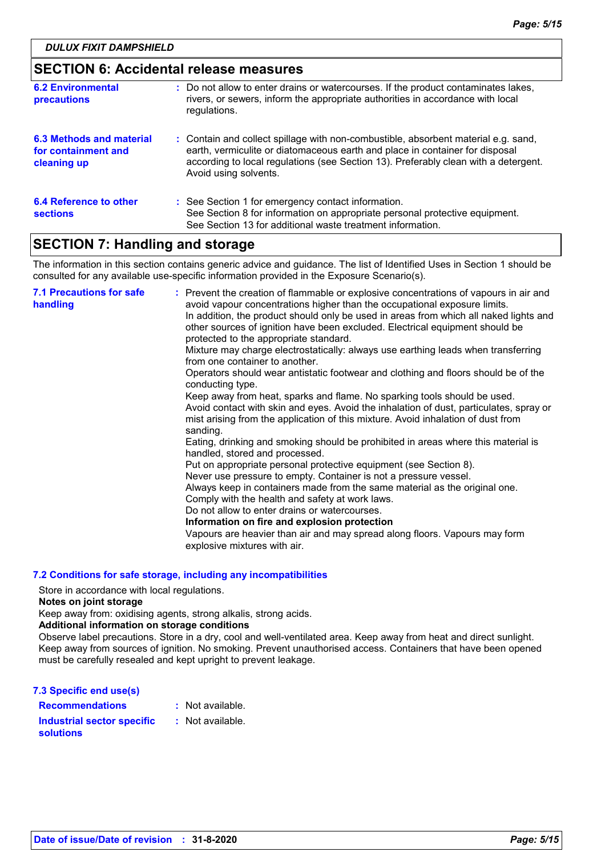| <b>SECTION 6: Accidental release measures</b>                  |                                                                                                                                                                                                                                                                                    |
|----------------------------------------------------------------|------------------------------------------------------------------------------------------------------------------------------------------------------------------------------------------------------------------------------------------------------------------------------------|
| <b>6.2 Environmental</b><br><b>precautions</b>                 | : Do not allow to enter drains or watercourses. If the product contaminates lakes,<br>rivers, or sewers, inform the appropriate authorities in accordance with local<br>regulations.                                                                                               |
| 6.3 Methods and material<br>for containment and<br>cleaning up | : Contain and collect spillage with non-combustible, absorbent material e.g. sand,<br>earth, vermiculite or diatomaceous earth and place in container for disposal<br>according to local regulations (see Section 13). Preferably clean with a detergent.<br>Avoid using solvents. |
| <b>6.4 Reference to other</b><br><b>sections</b>               | : See Section 1 for emergency contact information.<br>See Section 8 for information on appropriate personal protective equipment.<br>See Section 13 for additional waste treatment information.                                                                                    |

# **SECTION 7: Handling and storage**

The information in this section contains generic advice and guidance. The list of Identified Uses in Section 1 should be consulted for any available use-specific information provided in the Exposure Scenario(s).

| <b>7.1 Precautions for safe</b><br>handling | : Prevent the creation of flammable or explosive concentrations of vapours in air and<br>avoid vapour concentrations higher than the occupational exposure limits.<br>In addition, the product should only be used in areas from which all naked lights and<br>other sources of ignition have been excluded. Electrical equipment should be<br>protected to the appropriate standard.<br>Mixture may charge electrostatically: always use earthing leads when transferring<br>from one container to another.<br>Operators should wear antistatic footwear and clothing and floors should be of the<br>conducting type.<br>Keep away from heat, sparks and flame. No sparking tools should be used.<br>Avoid contact with skin and eyes. Avoid the inhalation of dust, particulates, spray or<br>mist arising from the application of this mixture. Avoid inhalation of dust from<br>sanding.<br>Eating, drinking and smoking should be prohibited in areas where this material is<br>handled, stored and processed.<br>Put on appropriate personal protective equipment (see Section 8).<br>Never use pressure to empty. Container is not a pressure vessel.<br>Always keep in containers made from the same material as the original one.<br>Comply with the health and safety at work laws.<br>Do not allow to enter drains or watercourses.<br>Information on fire and explosion protection<br>Vapours are heavier than air and may spread along floors. Vapours may form<br>explosive mixtures with air. |
|---------------------------------------------|--------------------------------------------------------------------------------------------------------------------------------------------------------------------------------------------------------------------------------------------------------------------------------------------------------------------------------------------------------------------------------------------------------------------------------------------------------------------------------------------------------------------------------------------------------------------------------------------------------------------------------------------------------------------------------------------------------------------------------------------------------------------------------------------------------------------------------------------------------------------------------------------------------------------------------------------------------------------------------------------------------------------------------------------------------------------------------------------------------------------------------------------------------------------------------------------------------------------------------------------------------------------------------------------------------------------------------------------------------------------------------------------------------------------------------------------------------------------------------------------------------------|
|---------------------------------------------|--------------------------------------------------------------------------------------------------------------------------------------------------------------------------------------------------------------------------------------------------------------------------------------------------------------------------------------------------------------------------------------------------------------------------------------------------------------------------------------------------------------------------------------------------------------------------------------------------------------------------------------------------------------------------------------------------------------------------------------------------------------------------------------------------------------------------------------------------------------------------------------------------------------------------------------------------------------------------------------------------------------------------------------------------------------------------------------------------------------------------------------------------------------------------------------------------------------------------------------------------------------------------------------------------------------------------------------------------------------------------------------------------------------------------------------------------------------------------------------------------------------|

#### **7.2 Conditions for safe storage, including any incompatibilities**

Store in accordance with local regulations.

#### **Notes on joint storage**

Keep away from: oxidising agents, strong alkalis, strong acids.

### **Additional information on storage conditions**

Observe label precautions. Store in a dry, cool and well-ventilated area. Keep away from heat and direct sunlight. Keep away from sources of ignition. No smoking. Prevent unauthorised access. Containers that have been opened must be carefully resealed and kept upright to prevent leakage.

| : Not available. |
|------------------|
| : Not available. |
|                  |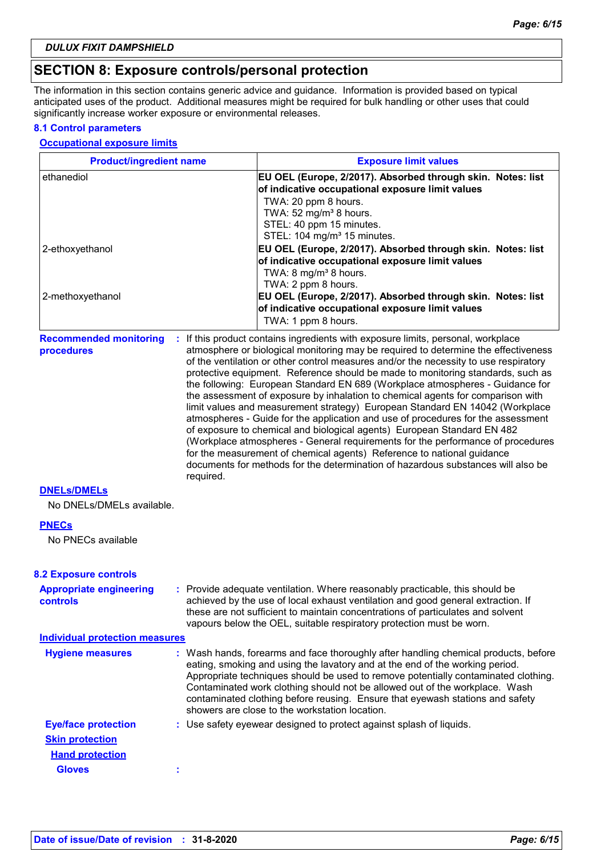# **SECTION 8: Exposure controls/personal protection**

The information in this section contains generic advice and guidance. Information is provided based on typical anticipated uses of the product. Additional measures might be required for bulk handling or other uses that could significantly increase worker exposure or environmental releases.

#### **8.1 Control parameters**

#### **Occupational exposure limits**

| <b>Product/ingredient name</b>                       |           | <b>Exposure limit values</b>                                                                                                                                                                                                                                                                                                                                                                                                                                                                                                                                                                                                                                                                                                                                                                                                                                                                                                                                                                                          |
|------------------------------------------------------|-----------|-----------------------------------------------------------------------------------------------------------------------------------------------------------------------------------------------------------------------------------------------------------------------------------------------------------------------------------------------------------------------------------------------------------------------------------------------------------------------------------------------------------------------------------------------------------------------------------------------------------------------------------------------------------------------------------------------------------------------------------------------------------------------------------------------------------------------------------------------------------------------------------------------------------------------------------------------------------------------------------------------------------------------|
| ethanediol                                           |           | EU OEL (Europe, 2/2017). Absorbed through skin. Notes: list<br>of indicative occupational exposure limit values<br>TWA: 20 ppm 8 hours.<br>TWA: 52 mg/m <sup>3</sup> 8 hours.<br>STEL: 40 ppm 15 minutes.<br>STEL: 104 mg/m <sup>3</sup> 15 minutes.                                                                                                                                                                                                                                                                                                                                                                                                                                                                                                                                                                                                                                                                                                                                                                  |
| 2-ethoxyethanol                                      |           | EU OEL (Europe, 2/2017). Absorbed through skin. Notes: list<br>of indicative occupational exposure limit values<br>TWA: 8 mg/m <sup>3</sup> 8 hours.<br>TWA: 2 ppm 8 hours.                                                                                                                                                                                                                                                                                                                                                                                                                                                                                                                                                                                                                                                                                                                                                                                                                                           |
| 2-methoxyethanol                                     |           | EU OEL (Europe, 2/2017). Absorbed through skin. Notes: list<br>of indicative occupational exposure limit values<br>TWA: 1 ppm 8 hours.                                                                                                                                                                                                                                                                                                                                                                                                                                                                                                                                                                                                                                                                                                                                                                                                                                                                                |
| <b>Recommended monitoring</b><br>procedures          | required. | : If this product contains ingredients with exposure limits, personal, workplace<br>atmosphere or biological monitoring may be required to determine the effectiveness<br>of the ventilation or other control measures and/or the necessity to use respiratory<br>protective equipment. Reference should be made to monitoring standards, such as<br>the following: European Standard EN 689 (Workplace atmospheres - Guidance for<br>the assessment of exposure by inhalation to chemical agents for comparison with<br>limit values and measurement strategy) European Standard EN 14042 (Workplace<br>atmospheres - Guide for the application and use of procedures for the assessment<br>of exposure to chemical and biological agents) European Standard EN 482<br>(Workplace atmospheres - General requirements for the performance of procedures<br>for the measurement of chemical agents) Reference to national guidance<br>documents for methods for the determination of hazardous substances will also be |
| <b>DNELS/DMELS</b>                                   |           |                                                                                                                                                                                                                                                                                                                                                                                                                                                                                                                                                                                                                                                                                                                                                                                                                                                                                                                                                                                                                       |
| No DNELs/DMELs available.                            |           |                                                                                                                                                                                                                                                                                                                                                                                                                                                                                                                                                                                                                                                                                                                                                                                                                                                                                                                                                                                                                       |
| <b>PNECs</b>                                         |           |                                                                                                                                                                                                                                                                                                                                                                                                                                                                                                                                                                                                                                                                                                                                                                                                                                                                                                                                                                                                                       |
| No PNECs available                                   |           |                                                                                                                                                                                                                                                                                                                                                                                                                                                                                                                                                                                                                                                                                                                                                                                                                                                                                                                                                                                                                       |
| <b>8.2 Exposure controls</b>                         |           |                                                                                                                                                                                                                                                                                                                                                                                                                                                                                                                                                                                                                                                                                                                                                                                                                                                                                                                                                                                                                       |
| <b>Appropriate engineering</b><br><b>controls</b>    |           | : Provide adequate ventilation. Where reasonably practicable, this should be<br>achieved by the use of local exhaust ventilation and good general extraction. If<br>these are not sufficient to maintain concentrations of particulates and solvent<br>vapours below the OEL, suitable respiratory protection must be worn.                                                                                                                                                                                                                                                                                                                                                                                                                                                                                                                                                                                                                                                                                           |
| <b>Individual protection measures</b>                |           |                                                                                                                                                                                                                                                                                                                                                                                                                                                                                                                                                                                                                                                                                                                                                                                                                                                                                                                                                                                                                       |
| <b>Hygiene measures</b>                              |           | : Wash hands, forearms and face thoroughly after handling chemical products, before<br>eating, smoking and using the lavatory and at the end of the working period.<br>Appropriate techniques should be used to remove potentially contaminated clothing.<br>Contaminated work clothing should not be allowed out of the workplace. Wash<br>contaminated clothing before reusing. Ensure that eyewash stations and safety<br>showers are close to the workstation location.                                                                                                                                                                                                                                                                                                                                                                                                                                                                                                                                           |
| <b>Eye/face protection</b><br><b>Skin protection</b> |           | : Use safety eyewear designed to protect against splash of liquids.                                                                                                                                                                                                                                                                                                                                                                                                                                                                                                                                                                                                                                                                                                                                                                                                                                                                                                                                                   |
| <b>Hand protection</b>                               |           |                                                                                                                                                                                                                                                                                                                                                                                                                                                                                                                                                                                                                                                                                                                                                                                                                                                                                                                                                                                                                       |
| <b>Gloves</b>                                        |           |                                                                                                                                                                                                                                                                                                                                                                                                                                                                                                                                                                                                                                                                                                                                                                                                                                                                                                                                                                                                                       |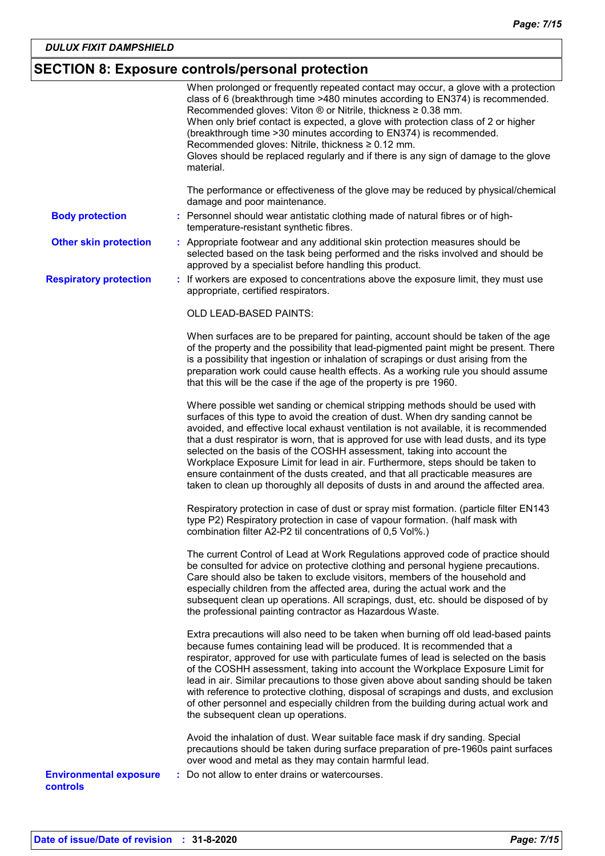# **SECTION 8: Exposure controls/personal protection**

|                                           | When prolonged or frequently repeated contact may occur, a glove with a protection<br>class of 6 (breakthrough time >480 minutes according to EN374) is recommended.<br>Recommended gloves: Viton ® or Nitrile, thickness ≥ 0.38 mm.<br>When only brief contact is expected, a glove with protection class of 2 or higher<br>(breakthrough time > 30 minutes according to EN374) is recommended.<br>Recommended gloves: Nitrile, thickness $\geq 0.12$ mm.<br>Gloves should be replaced regularly and if there is any sign of damage to the glove<br>material.                                                                                                                          |  |
|-------------------------------------------|-----------------------------------------------------------------------------------------------------------------------------------------------------------------------------------------------------------------------------------------------------------------------------------------------------------------------------------------------------------------------------------------------------------------------------------------------------------------------------------------------------------------------------------------------------------------------------------------------------------------------------------------------------------------------------------------|--|
|                                           | The performance or effectiveness of the glove may be reduced by physical/chemical<br>damage and poor maintenance.                                                                                                                                                                                                                                                                                                                                                                                                                                                                                                                                                                       |  |
| <b>Body protection</b>                    | : Personnel should wear antistatic clothing made of natural fibres or of high-<br>temperature-resistant synthetic fibres.                                                                                                                                                                                                                                                                                                                                                                                                                                                                                                                                                               |  |
| <b>Other skin protection</b>              | : Appropriate footwear and any additional skin protection measures should be<br>selected based on the task being performed and the risks involved and should be<br>approved by a specialist before handling this product.                                                                                                                                                                                                                                                                                                                                                                                                                                                               |  |
| <b>Respiratory protection</b>             | : If workers are exposed to concentrations above the exposure limit, they must use<br>appropriate, certified respirators.                                                                                                                                                                                                                                                                                                                                                                                                                                                                                                                                                               |  |
|                                           | OLD LEAD-BASED PAINTS:                                                                                                                                                                                                                                                                                                                                                                                                                                                                                                                                                                                                                                                                  |  |
|                                           | When surfaces are to be prepared for painting, account should be taken of the age<br>of the property and the possibility that lead-pigmented paint might be present. There<br>is a possibility that ingestion or inhalation of scrapings or dust arising from the<br>preparation work could cause health effects. As a working rule you should assume<br>that this will be the case if the age of the property is pre 1960.                                                                                                                                                                                                                                                             |  |
|                                           | Where possible wet sanding or chemical stripping methods should be used with<br>surfaces of this type to avoid the creation of dust. When dry sanding cannot be<br>avoided, and effective local exhaust ventilation is not available, it is recommended<br>that a dust respirator is worn, that is approved for use with lead dusts, and its type<br>selected on the basis of the COSHH assessment, taking into account the<br>Workplace Exposure Limit for lead in air. Furthermore, steps should be taken to<br>ensure containment of the dusts created, and that all practicable measures are<br>taken to clean up thoroughly all deposits of dusts in and around the affected area. |  |
|                                           | Respiratory protection in case of dust or spray mist formation. (particle filter EN143<br>type P2) Respiratory protection in case of vapour formation. (half mask with<br>combination filter A2-P2 til concentrations of 0,5 Vol%.)                                                                                                                                                                                                                                                                                                                                                                                                                                                     |  |
|                                           | The current Control of Lead at Work Regulations approved code of practice should<br>be consulted for advice on protective clothing and personal hygiene precautions.<br>Care should also be taken to exclude visitors, members of the household and<br>especially children from the affected area, during the actual work and the<br>subsequent clean up operations. All scrapings, dust, etc. should be disposed of by<br>the professional painting contractor as Hazardous Waste.                                                                                                                                                                                                     |  |
|                                           | Extra precautions will also need to be taken when burning off old lead-based paints<br>because fumes containing lead will be produced. It is recommended that a<br>respirator, approved for use with particulate fumes of lead is selected on the basis<br>of the COSHH assessment, taking into account the Workplace Exposure Limit for<br>lead in air. Similar precautions to those given above about sanding should be taken<br>with reference to protective clothing, disposal of scrapings and dusts, and exclusion<br>of other personnel and especially children from the building during actual work and<br>the subsequent clean up operations.                                  |  |
|                                           | Avoid the inhalation of dust. Wear suitable face mask if dry sanding. Special<br>precautions should be taken during surface preparation of pre-1960s paint surfaces<br>over wood and metal as they may contain harmful lead.                                                                                                                                                                                                                                                                                                                                                                                                                                                            |  |
| <b>Environmental exposure</b><br>controls | : Do not allow to enter drains or watercourses.                                                                                                                                                                                                                                                                                                                                                                                                                                                                                                                                                                                                                                         |  |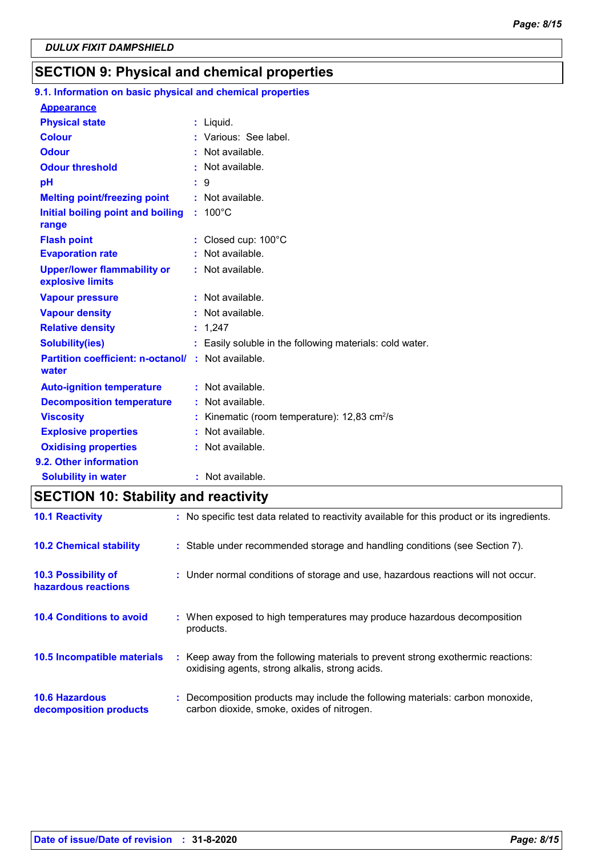## **SECTION 9: Physical and chemical properties**

#### 100°C **Initial boiling point and boiling : Physical state Melting point/freezing point range Vapour pressure Relative density Vapour density Solubility(ies)** Liquid. **: :** Not available. 1,247 **: :** Not available. **:** Not available. Easily soluble in the following materials: cold water. **: Odour** : Not available. **pH Colour Evaporation rate Auto-ignition temperature Flash point :** Not available. Closed cup: 100°C **: :** Not available. **:** Not available. **Partition coefficient: n-octanol/ :** Not available. 9 **: Viscosity Kinematic (room temperature): 12,83 cm<sup>2</sup>/s Viscosity Odour threshold water Upper/lower flammability or explosive limits Explosive properties :** Various: See label. **:** Not available. : Not available. **Oxidising properties** : Not available. **9.1. Information on basic physical and chemical properties Appearance 9.2. Other information Decomposition temperature :** Not available. **Solubility in water :** Not available.

## **SECTION 10: Stability and reactivity**

| <b>10.1 Reactivity</b>                            | : No specific test data related to reactivity available for this product or its ingredients.                                        |
|---------------------------------------------------|-------------------------------------------------------------------------------------------------------------------------------------|
| <b>10.2 Chemical stability</b>                    | : Stable under recommended storage and handling conditions (see Section 7).                                                         |
| <b>10.3 Possibility of</b><br>hazardous reactions | : Under normal conditions of storage and use, hazardous reactions will not occur.                                                   |
| <b>10.4 Conditions to avoid</b>                   | : When exposed to high temperatures may produce hazardous decomposition<br>products.                                                |
| 10.5 Incompatible materials                       | : Keep away from the following materials to prevent strong exothermic reactions:<br>oxidising agents, strong alkalis, strong acids. |
| <b>10.6 Hazardous</b><br>decomposition products   | Decomposition products may include the following materials: carbon monoxide,<br>carbon dioxide, smoke, oxides of nitrogen.          |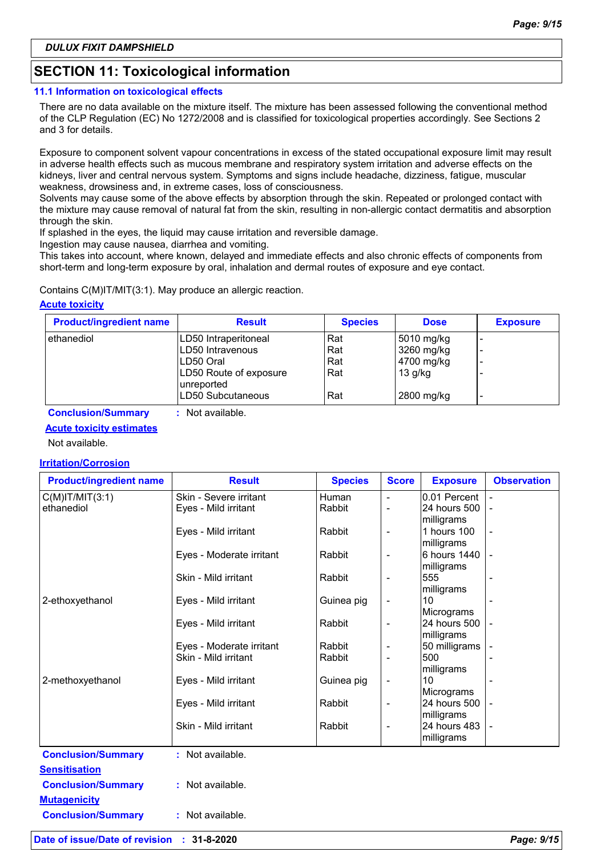# **SECTION 11: Toxicological information**

#### **11.1 Information on toxicological effects**

There are no data available on the mixture itself. The mixture has been assessed following the conventional method of the CLP Regulation (EC) No 1272/2008 and is classified for toxicological properties accordingly. See Sections 2 and 3 for details.

Exposure to component solvent vapour concentrations in excess of the stated occupational exposure limit may result in adverse health effects such as mucous membrane and respiratory system irritation and adverse effects on the kidneys, liver and central nervous system. Symptoms and signs include headache, dizziness, fatigue, muscular weakness, drowsiness and, in extreme cases, loss of consciousness.

Solvents may cause some of the above effects by absorption through the skin. Repeated or prolonged contact with the mixture may cause removal of natural fat from the skin, resulting in non-allergic contact dermatitis and absorption through the skin.

If splashed in the eyes, the liquid may cause irritation and reversible damage.

Ingestion may cause nausea, diarrhea and vomiting.

This takes into account, where known, delayed and immediate effects and also chronic effects of components from short-term and long-term exposure by oral, inhalation and dermal routes of exposure and eye contact.

Contains C(M)IT/MIT(3:1). May produce an allergic reaction.

### **Acute toxicity**

| <b>Product/ingredient name</b> | <b>Result</b>                        | <b>Species</b> | <b>Dose</b> | <b>Exposure</b>          |
|--------------------------------|--------------------------------------|----------------|-------------|--------------------------|
| ethanediol                     | LD50 Intraperitoneal                 | Rat            | 5010 mg/kg  |                          |
|                                | LD50 Intravenous                     | Rat            | 3260 mg/kg  |                          |
|                                | ILD50 Oral                           | Rat            | 4700 mg/kg  |                          |
|                                | LD50 Route of exposure<br>unreported | Rat            | $13$ g/kg   |                          |
|                                | LD50 Subcutaneous                    | Rat            | 2800 mg/kg  | $\overline{\phantom{0}}$ |

**Conclusion/Summary :** Not available.

### **Acute toxicity estimates**

Not available.

### **Irritation/Corrosion**

| <b>Product/ingredient name</b> | <b>Result</b>            | <b>Species</b> | <b>Score</b>             | <b>Exposure</b>  | <b>Observation</b> |
|--------------------------------|--------------------------|----------------|--------------------------|------------------|--------------------|
| $C(M)$ IT/MIT $(3:1)$          | Skin - Severe irritant   | <b>Human</b>   | $\overline{\phantom{a}}$ | 0.01 Percent     |                    |
| ethanediol                     | Eyes - Mild irritant     | Rabbit         |                          | 24 hours 500     |                    |
|                                |                          |                |                          | milligrams       |                    |
|                                | Eyes - Mild irritant     | Rabbit         | $\overline{\phantom{a}}$ | 1 hours 100      |                    |
|                                |                          |                |                          | milligrams       |                    |
|                                | Eyes - Moderate irritant | Rabbit         | $\overline{\phantom{a}}$ | 6 hours 1440     |                    |
|                                |                          |                |                          | milligrams       |                    |
|                                | Skin - Mild irritant     | Rabbit         |                          | 555              |                    |
| 2-ethoxyethanol                | Eyes - Mild irritant     |                |                          | milligrams<br>10 |                    |
|                                |                          | Guinea pig     | $\overline{\phantom{a}}$ | Micrograms       |                    |
|                                | Eyes - Mild irritant     | Rabbit         | $\overline{\phantom{a}}$ | 24 hours 500     |                    |
|                                |                          |                |                          | milligrams       |                    |
|                                | Eyes - Moderate irritant | Rabbit         | $\overline{\phantom{a}}$ | 50 milligrams    |                    |
|                                | Skin - Mild irritant     | Rabbit         |                          | 500              |                    |
|                                |                          |                |                          | milligrams       |                    |
| 2-methoxyethanol               | Eyes - Mild irritant     | Guinea pig     | $\overline{\phantom{a}}$ | 10               |                    |
|                                |                          |                |                          | Micrograms       |                    |
|                                | Eyes - Mild irritant     | Rabbit         | $\overline{\phantom{a}}$ | 24 hours 500     |                    |
|                                |                          |                |                          | milligrams       |                    |
|                                | Skin - Mild irritant     | Rabbit         |                          | 24 hours 483     |                    |
|                                |                          |                |                          | milligrams       |                    |
| <b>Conclusion/Summary</b>      | : Not available.         |                |                          |                  |                    |
| <b>Sensitisation</b>           |                          |                |                          |                  |                    |
| <b>Conclusion/Summary</b>      | : Not available.         |                |                          |                  |                    |
|                                |                          |                |                          |                  |                    |
| <b>Mutagenicity</b>            |                          |                |                          |                  |                    |
| <b>Conclusion/Summary</b>      | : Not available.         |                |                          |                  |                    |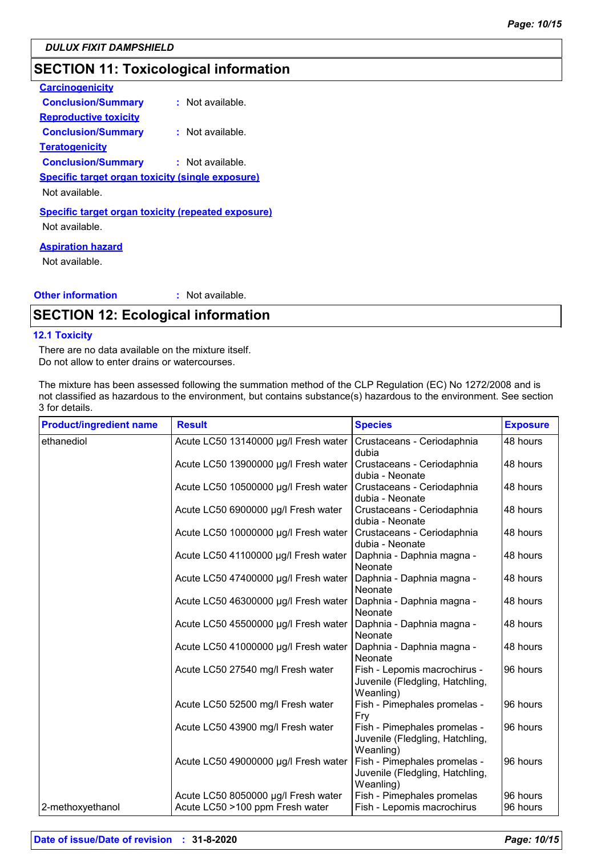# **SECTION 11: Toxicological information**

| <b>Carcinogenicity</b>                                    |                    |
|-----------------------------------------------------------|--------------------|
| <b>Conclusion/Summary</b>                                 | $:$ Not available. |
| <b>Reproductive toxicity</b>                              |                    |
| <b>Conclusion/Summary</b>                                 | : Not available.   |
| Teratogenicity                                            |                    |
| <b>Conclusion/Summary</b>                                 | : Not available.   |
| <b>Specific target organ toxicity (single exposure)</b>   |                    |
| Not available.                                            |                    |
| <b>Specific target organ toxicity (repeated exposure)</b> |                    |
| Not available.                                            |                    |
|                                                           |                    |

#### **Aspiration hazard**

Not available.

#### **Other information :** : Not available.

### **SECTION 12: Ecological information**

#### **12.1 Toxicity**

There are no data available on the mixture itself. Do not allow to enter drains or watercourses.

The mixture has been assessed following the summation method of the CLP Regulation (EC) No 1272/2008 and is not classified as hazardous to the environment, but contains substance(s) hazardous to the environment. See section 3 for details.

| <b>Product/ingredient name</b> | <b>Result</b>                        | <b>Species</b>                                                               | <b>Exposure</b> |
|--------------------------------|--------------------------------------|------------------------------------------------------------------------------|-----------------|
| ethanediol                     | Acute LC50 13140000 µg/l Fresh water | Crustaceans - Ceriodaphnia<br>dubia                                          | 48 hours        |
|                                | Acute LC50 13900000 µg/l Fresh water | Crustaceans - Ceriodaphnia<br>dubia - Neonate                                | 48 hours        |
|                                | Acute LC50 10500000 µg/l Fresh water | Crustaceans - Ceriodaphnia<br>dubia - Neonate                                | 48 hours        |
|                                | Acute LC50 6900000 µg/l Fresh water  | Crustaceans - Ceriodaphnia<br>dubia - Neonate                                | 48 hours        |
|                                | Acute LC50 10000000 µg/l Fresh water | Crustaceans - Ceriodaphnia<br>dubia - Neonate                                | 48 hours        |
|                                | Acute LC50 41100000 µg/l Fresh water | Daphnia - Daphnia magna -<br>Neonate                                         | 48 hours        |
|                                | Acute LC50 47400000 µg/l Fresh water | Daphnia - Daphnia magna -<br>Neonate                                         | 48 hours        |
|                                | Acute LC50 46300000 µg/l Fresh water | Daphnia - Daphnia magna -<br>Neonate                                         | 48 hours        |
|                                | Acute LC50 45500000 µg/l Fresh water | Daphnia - Daphnia magna -<br>Neonate                                         | 48 hours        |
|                                | Acute LC50 41000000 µg/l Fresh water | Daphnia - Daphnia magna -<br>Neonate                                         | 48 hours        |
|                                | Acute LC50 27540 mg/l Fresh water    | Fish - Lepomis macrochirus -<br>Juvenile (Fledgling, Hatchling,<br>Weanling) | 96 hours        |
|                                | Acute LC50 52500 mg/l Fresh water    | Fish - Pimephales promelas -<br>Fry                                          | 96 hours        |
|                                | Acute LC50 43900 mg/l Fresh water    | Fish - Pimephales promelas -<br>Juvenile (Fledgling, Hatchling,<br>Weanling) | 96 hours        |
|                                | Acute LC50 49000000 µg/l Fresh water | Fish - Pimephales promelas -<br>Juvenile (Fledgling, Hatchling,<br>Weanling) | 96 hours        |
|                                | Acute LC50 8050000 µg/l Fresh water  | Fish - Pimephales promelas                                                   | 96 hours        |
| 2-methoxyethanol               | Acute LC50 >100 ppm Fresh water      | Fish - Lepomis macrochirus                                                   | 96 hours        |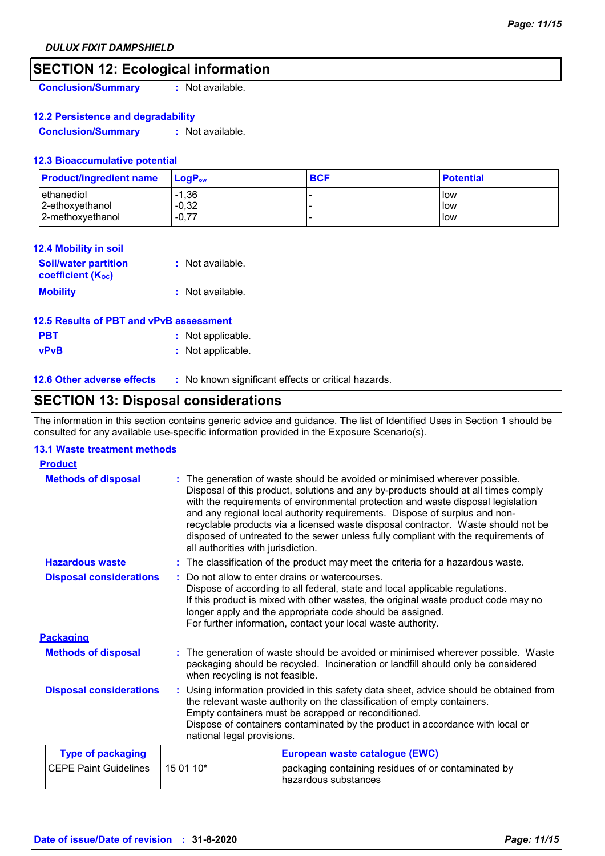# **SECTION 12: Ecological information**

**Conclusion/Summary :** Not available.

### **12.2 Persistence and degradability**

**Conclusion/Summary :** Not available.

### **12.3 Bioaccumulative potential**

| <b>Product/ingredient name</b> | <b>⊥LogP</b> ow    | <b>BCF</b> | <b>Potential</b>           |
|--------------------------------|--------------------|------------|----------------------------|
| ethanediol<br>2-ethoxyethanol  | $-1,36$<br>$-0,32$ |            | <b>How</b><br><b>I</b> low |
| 2-methoxyethanol               | $-0,77$            |            | low                        |

| <b>12.4 Mobility in soil</b>                            |                  |
|---------------------------------------------------------|------------------|
| <b>Soil/water partition</b><br><b>coefficient (Koc)</b> | : Not available. |
| <b>Mobility</b>                                         | : Not available. |

### **12.5 Results of PBT and vPvB assessment**

| <b>PBT</b>  | : Not applicable. |
|-------------|-------------------|
| <b>vPvB</b> | : Not applicable. |

**12.6 Other adverse effects** : No known significant effects or critical hazards.

# **SECTION 13: Disposal considerations**

The information in this section contains generic advice and guidance. The list of Identified Uses in Section 1 should be consulted for any available use-specific information provided in the Exposure Scenario(s).

### **13.1 Waste treatment methods**

| <b>Product</b>                 |           |                                                                                                                                                                                                                                                                                                                                                                                                                                                                                                                                                    |  |
|--------------------------------|-----------|----------------------------------------------------------------------------------------------------------------------------------------------------------------------------------------------------------------------------------------------------------------------------------------------------------------------------------------------------------------------------------------------------------------------------------------------------------------------------------------------------------------------------------------------------|--|
| <b>Methods of disposal</b>     |           | The generation of waste should be avoided or minimised wherever possible.<br>Disposal of this product, solutions and any by-products should at all times comply<br>with the requirements of environmental protection and waste disposal legislation<br>and any regional local authority requirements. Dispose of surplus and non-<br>recyclable products via a licensed waste disposal contractor. Waste should not be<br>disposed of untreated to the sewer unless fully compliant with the requirements of<br>all authorities with jurisdiction. |  |
| <b>Hazardous waste</b>         |           | : The classification of the product may meet the criteria for a hazardous waste.                                                                                                                                                                                                                                                                                                                                                                                                                                                                   |  |
| <b>Disposal considerations</b> |           | Do not allow to enter drains or watercourses.<br>Dispose of according to all federal, state and local applicable regulations.<br>If this product is mixed with other wastes, the original waste product code may no<br>longer apply and the appropriate code should be assigned.<br>For further information, contact your local waste authority.                                                                                                                                                                                                   |  |
| <b>Packaging</b>               |           |                                                                                                                                                                                                                                                                                                                                                                                                                                                                                                                                                    |  |
| <b>Methods of disposal</b>     |           | The generation of waste should be avoided or minimised wherever possible. Waste<br>packaging should be recycled. Incineration or landfill should only be considered<br>when recycling is not feasible.                                                                                                                                                                                                                                                                                                                                             |  |
| <b>Disposal considerations</b> |           | : Using information provided in this safety data sheet, advice should be obtained from<br>the relevant waste authority on the classification of empty containers.<br>Empty containers must be scrapped or reconditioned.<br>Dispose of containers contaminated by the product in accordance with local or<br>national legal provisions.                                                                                                                                                                                                            |  |
| <b>Type of packaging</b>       |           | European waste catalogue (EWC)                                                                                                                                                                                                                                                                                                                                                                                                                                                                                                                     |  |
| <b>CEPE Paint Guidelines</b>   | 15 01 10* | packaging containing residues of or contaminated by<br>hazardous substances                                                                                                                                                                                                                                                                                                                                                                                                                                                                        |  |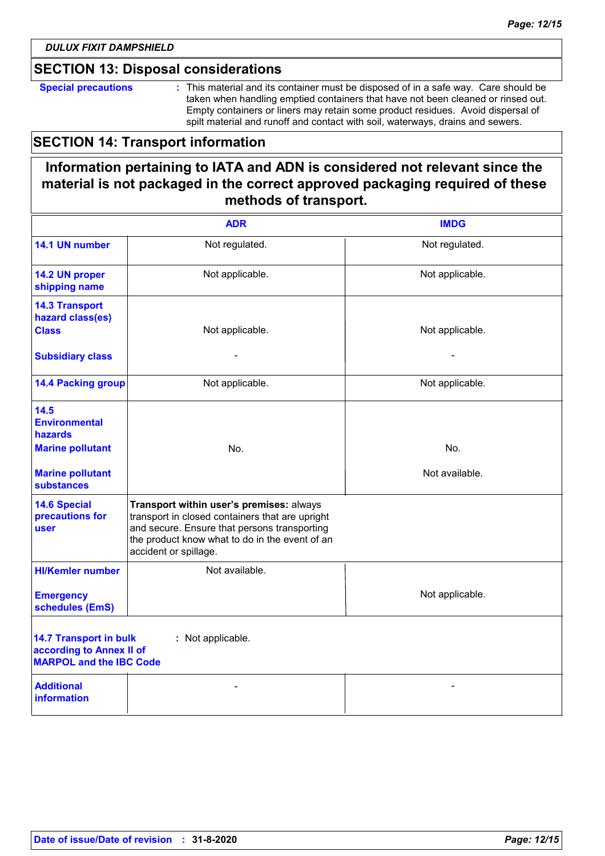### **SECTION 13: Disposal considerations**

**Special precautions :** This material and its container must be disposed of in a safe way. Care should be taken when handling emptied containers that have not been cleaned or rinsed out. Empty containers or liners may retain some product residues. Avoid dispersal of spilt material and runoff and contact with soil, waterways, drains and sewers.

# **SECTION 14: Transport information**

# **Information pertaining to IATA and ADN is considered not relevant since the material is not packaged in the correct approved packaging required of these methods of transport.**

|                                                                                             | <b>ADR</b>                                                                                                                                                                                                             | <b>IMDG</b>     |
|---------------------------------------------------------------------------------------------|------------------------------------------------------------------------------------------------------------------------------------------------------------------------------------------------------------------------|-----------------|
| 14.1 UN number                                                                              | Not regulated.                                                                                                                                                                                                         | Not regulated.  |
| 14.2 UN proper<br>shipping name                                                             | Not applicable.                                                                                                                                                                                                        | Not applicable. |
| <b>14.3 Transport</b><br>hazard class(es)<br><b>Class</b>                                   | Not applicable.                                                                                                                                                                                                        | Not applicable. |
| <b>Subsidiary class</b>                                                                     |                                                                                                                                                                                                                        |                 |
| <b>14.4 Packing group</b>                                                                   | Not applicable.                                                                                                                                                                                                        | Not applicable. |
| 14.5<br><b>Environmental</b><br><b>hazards</b>                                              |                                                                                                                                                                                                                        |                 |
| <b>Marine pollutant</b>                                                                     | No.                                                                                                                                                                                                                    | No.             |
| <b>Marine pollutant</b><br><b>substances</b>                                                |                                                                                                                                                                                                                        | Not available.  |
| <b>14.6 Special</b><br>precautions for<br>user                                              | Transport within user's premises: always<br>transport in closed containers that are upright<br>and secure. Ensure that persons transporting<br>the product know what to do in the event of an<br>accident or spillage. |                 |
| <b>HI/Kemler number</b>                                                                     | Not available.                                                                                                                                                                                                         |                 |
| <b>Emergency</b><br>schedules (EmS)                                                         |                                                                                                                                                                                                                        | Not applicable. |
| <b>14.7 Transport in bulk</b><br>according to Annex II of<br><b>MARPOL and the IBC Code</b> | : Not applicable.                                                                                                                                                                                                      |                 |
| <b>Additional</b><br><b>information</b>                                                     |                                                                                                                                                                                                                        |                 |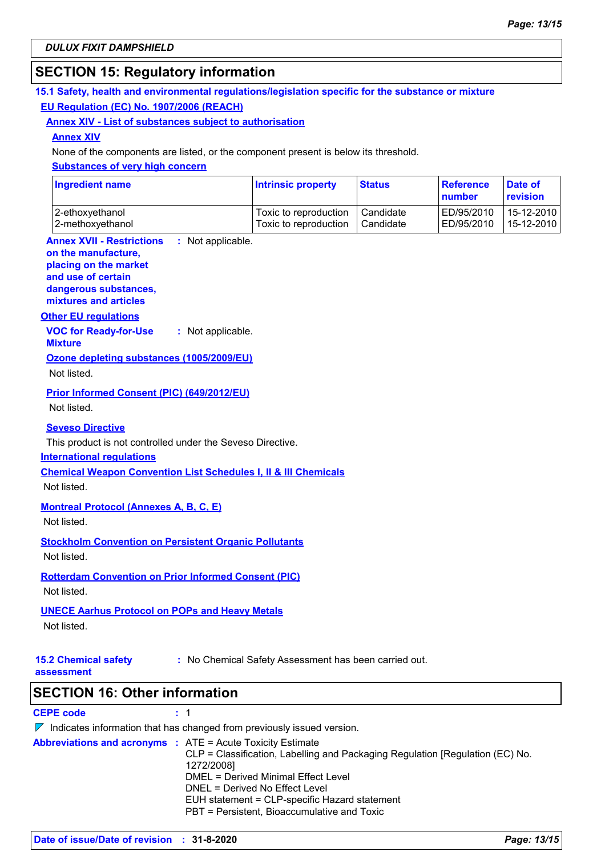# **SECTION 15: Regulatory information**

### **15.1 Safety, health and environmental regulations/legislation specific for the substance or mixture EU Regulation (EC) No. 1907/2006 (REACH)**

#### **Annex XIV - List of substances subject to authorisation**

#### **Annex XIV**

None of the components are listed, or the component present is below its threshold.

#### **Substances of very high concern**

| <b>Ingredient name</b> | <b>Intrinsic property</b> | <b>Status</b> | Reference<br><b>number</b> | Date of<br>revision |
|------------------------|---------------------------|---------------|----------------------------|---------------------|
| 2-ethoxyethanol        | Toxic to reproduction     | Candidate     | ED/95/2010                 | 15-12-2010          |
| 2-methoxyethanol       | Toxic to reproduction     | Candidate     | ED/95/2010                 | 15-12-2010          |

#### **Annex XVII - Restrictions on the manufacture,** : Not applicable.

#### **placing on the market**

**and use of certain dangerous substances, mixtures and articles**

### **Other EU regulations**

**VOC for Ready-for-Use Mixture :** Not applicable.

# **Ozone depleting substances (1005/2009/EU)**

Not listed.

### **Prior Informed Consent (PIC) (649/2012/EU)**

Not listed.

#### **Seveso Directive**

This product is not controlled under the Seveso Directive.

#### **International regulations**

**Chemical Weapon Convention List Schedules I, II & III Chemicals**

Not listed.

### **Montreal Protocol (Annexes A, B, C, E)**

Not listed.

# **Stockholm Convention on Persistent Organic Pollutants**

Not listed.

#### **Rotterdam Convention on Prior Informed Consent (PIC)** Not listed.

### **UNECE Aarhus Protocol on POPs and Heavy Metals**

Not listed.

**15.2 Chemical safety** 

**:** No Chemical Safety Assessment has been carried out.

**assessment**

**SECTION 16: Other information**

### **CEPE code :** 1

| $\nabla$ Indicates information that has changed from previously issued version.                                                                                                                                                                                                                                                           |
|-------------------------------------------------------------------------------------------------------------------------------------------------------------------------------------------------------------------------------------------------------------------------------------------------------------------------------------------|
| <b>Abbreviations and acronyms : ATE = Acute Toxicity Estimate</b><br>CLP = Classification, Labelling and Packaging Regulation [Regulation (EC) No.<br>1272/2008]<br>DMEL = Derived Minimal Effect Level<br>DNEL = Derived No Effect Level<br>EUH statement = CLP-specific Hazard statement<br>PBT = Persistent, Bioaccumulative and Toxic |
|                                                                                                                                                                                                                                                                                                                                           |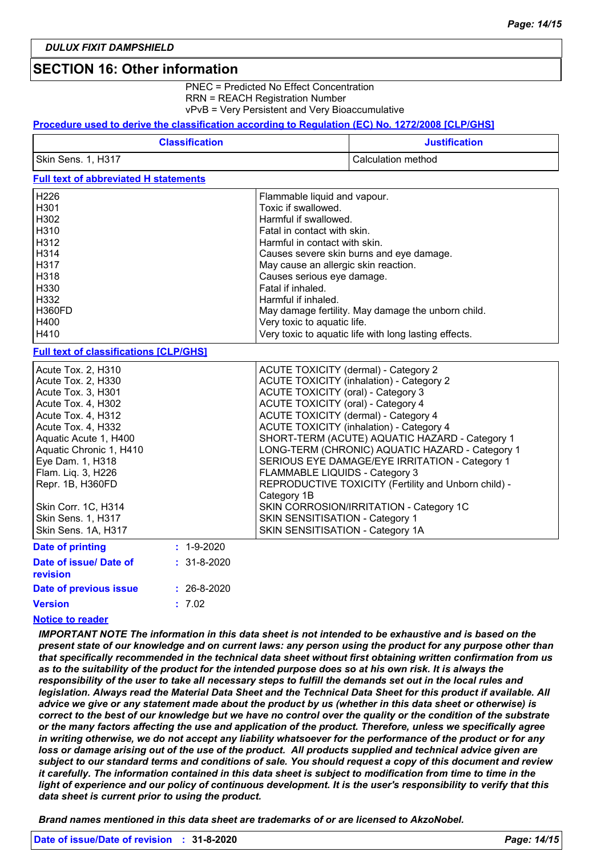### **SECTION 16: Other information**

PNEC = Predicted No Effect Concentration RRN = REACH Registration Number vPvB = Very Persistent and Very Bioaccumulative

#### **Procedure used to derive the classification according to Regulation (EC) No. 1272/2008 [CLP/GHS]**

| <b>Classification</b> | <b>Justification</b> |
|-----------------------|----------------------|
| Skin Sens. 1, H317    | Calculation method   |

### **Full text of abbreviated H statements**

| H <sub>226</sub> | Flammable liquid and vapour.                          |
|------------------|-------------------------------------------------------|
| H <sub>301</sub> | Toxic if swallowed.                                   |
| H302             | Harmful if swallowed.                                 |
| H310             | Fatal in contact with skin.                           |
| H312             | Harmful in contact with skin.                         |
| H314             | Causes severe skin burns and eye damage.              |
| H317             | May cause an allergic skin reaction.                  |
| H318             | Causes serious eye damage.                            |
| H330             | Fatal if inhaled.                                     |
| H332             | Harmful if inhaled.                                   |
| H360FD           | May damage fertility. May damage the unborn child.    |
| H400             | Very toxic to aquatic life.                           |
| H410             | Very toxic to aquatic life with long lasting effects. |

#### **Full text of classifications [CLP/GHS]**

| Acute Tox. 2, H310        |                   | ACUTE TOXICITY (dermal) - Category 2                 |
|---------------------------|-------------------|------------------------------------------------------|
| Acute Tox. 2, H330        |                   | <b>ACUTE TOXICITY (inhalation) - Category 2</b>      |
| Acute Tox. 3, H301        |                   | <b>ACUTE TOXICITY (oral) - Category 3</b>            |
| Acute Tox. 4, H302        |                   | ACUTE TOXICITY (oral) - Category 4                   |
| Acute Tox. 4, H312        |                   | ACUTE TOXICITY (dermal) - Category 4                 |
| Acute Tox. 4, H332        |                   | <b>ACUTE TOXICITY (inhalation) - Category 4</b>      |
| Aquatic Acute 1, H400     |                   | SHORT-TERM (ACUTE) AQUATIC HAZARD - Category 1       |
| Aquatic Chronic 1, H410   |                   | LONG-TERM (CHRONIC) AQUATIC HAZARD - Category 1      |
| Eye Dam. 1, H318          |                   | SERIOUS EYE DAMAGE/EYE IRRITATION - Category 1       |
| Flam. Lig. 3, H226        |                   | FLAMMABLE LIQUIDS - Category 3                       |
| Repr. 1B, H360FD          |                   | REPRODUCTIVE TOXICITY (Fertility and Unborn child) - |
|                           |                   | Category 1B                                          |
| Skin Corr. 1C, H314       |                   | SKIN CORROSION/IRRITATION - Category 1C              |
| <b>Skin Sens. 1, H317</b> |                   | SKIN SENSITISATION - Category 1                      |
| Skin Sens. 1A, H317       |                   | SKIN SENSITISATION - Category 1A                     |
| <b>Date of printing</b>   | $: 1 - 9 - 2020$  |                                                      |
| Date of issue/ Date of    | $: 31 - 8 - 2020$ |                                                      |

| revision               |                   |
|------------------------|-------------------|
| Date of previous issue | $: 26 - 8 - 2020$ |
| Version                | : 7.02            |

### **Notice to reader**

*IMPORTANT NOTE The information in this data sheet is not intended to be exhaustive and is based on the present state of our knowledge and on current laws: any person using the product for any purpose other than that specifically recommended in the technical data sheet without first obtaining written confirmation from us as to the suitability of the product for the intended purpose does so at his own risk. It is always the*  responsibility of the user to take all necessary steps to fulfill the demands set out in the local rules and *legislation. Always read the Material Data Sheet and the Technical Data Sheet for this product if available. All advice we give or any statement made about the product by us (whether in this data sheet or otherwise) is correct to the best of our knowledge but we have no control over the quality or the condition of the substrate or the many factors affecting the use and application of the product. Therefore, unless we specifically agree in writing otherwise, we do not accept any liability whatsoever for the performance of the product or for any loss or damage arising out of the use of the product. All products supplied and technical advice given are subject to our standard terms and conditions of sale. You should request a copy of this document and review it carefully. The information contained in this data sheet is subject to modification from time to time in the light of experience and our policy of continuous development. It is the user's responsibility to verify that this data sheet is current prior to using the product.*

*Brand names mentioned in this data sheet are trademarks of or are licensed to AkzoNobel.*